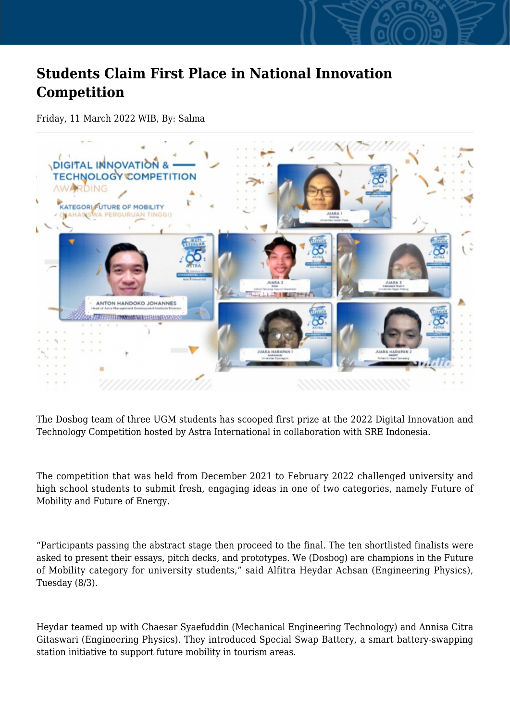## **Students Claim First Place in National Innovation Competition**

Friday, 11 March 2022 WIB, By: Salma



The Dosbog team of three UGM students has scooped first prize at the 2022 Digital Innovation and Technology Competition hosted by Astra International in collaboration with SRE Indonesia.

The competition that was held from December 2021 to February 2022 challenged university and high school students to submit fresh, engaging ideas in one of two categories, namely Future of Mobility and Future of Energy.

"Participants passing the abstract stage then proceed to the final. The ten shortlisted finalists were asked to present their essays, pitch decks, and prototypes. We (Dosbog) are champions in the Future of Mobility category for university students," said Alfitra Heydar Achsan (Engineering Physics), Tuesday (8/3).

Heydar teamed up with Chaesar Syaefuddin (Mechanical Engineering Technology) and Annisa Citra Gitaswari (Engineering Physics). They introduced Special Swap Battery, a smart battery-swapping station initiative to support future mobility in tourism areas.